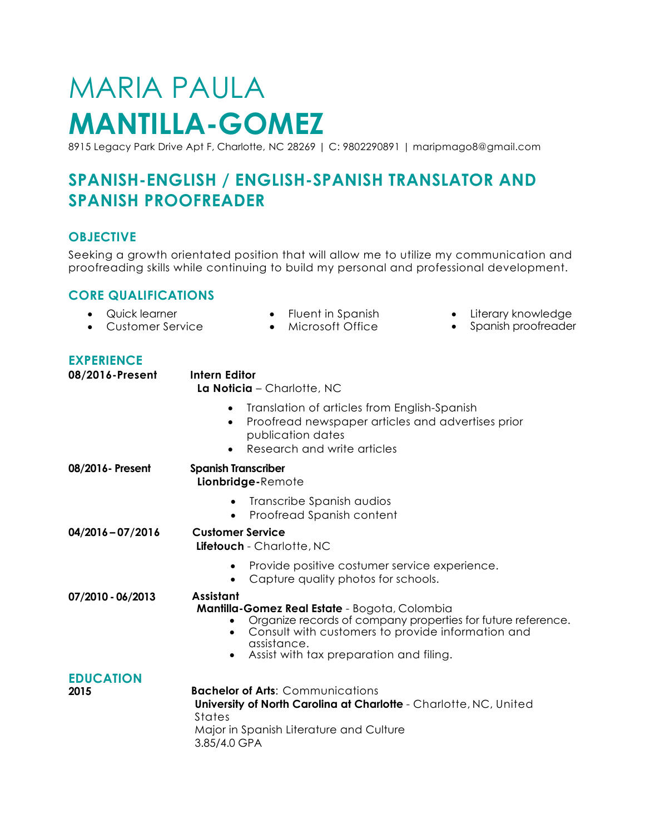# MARIA PAULA **MANTILLA-GOMEZ**

8915 Legacy Park Drive Apt F, Charlotte, NC 28269 | C: 9802290891 | maripmago8@gmail.com

# **SPANISH-ENGLISH / ENGLISH-SPANISH TRANSLATOR AND SPANISH PROOFREADER**

## **OBJECTIVE**

Seeking a growth orientated position that will allow me to utilize my communication and proofreading skills while continuing to build my personal and professional development.

#### **CORE QUALIFICATIONS**

- Quick learner
- Customer Service Microsoft Office
- Fluent in Spanish
- Literary knowledge
- Spanish proofreader

### **EXPERIENCE**

| <b>LAI ENIEIVOL</b><br>08/2016-Present | <b>Intern Editor</b><br>La Noticia - Charlotte, NC                                                                                                                                                                                                            |
|----------------------------------------|---------------------------------------------------------------------------------------------------------------------------------------------------------------------------------------------------------------------------------------------------------------|
|                                        | Translation of articles from English-Spanish<br>$\bullet$<br>Proofread newspaper articles and advertises prior<br>$\bullet$<br>publication dates<br>Research and write articles<br>$\bullet$                                                                  |
| 08/2016- Present                       | <b>Spanish Transcriber</b><br>Lionbridge-Remote                                                                                                                                                                                                               |
|                                        | Transcribe Spanish audios<br>Proofread Spanish content                                                                                                                                                                                                        |
| 04/2016-07/2016                        | <b>Customer Service</b><br>Lifetouch - Charlotte, NC                                                                                                                                                                                                          |
|                                        | Provide positive costumer service experience.<br>٠<br>Capture quality photos for schools.                                                                                                                                                                     |
| 07/2010 - 06/2013                      | <b>Assistant</b><br>Mantilla-Gomez Real Estate - Bogota, Colombia<br>Organize records of company properties for future reference.<br>Consult with customers to provide information and<br>assistance.<br>Assist with tax preparation and filing.<br>$\bullet$ |
| <b>EDUCATION</b><br>2015               | <b>Bachelor of Arts: Communications</b><br>University of North Carolina at Charlotte - Charlotte, NC, United<br>States<br>Major in Spanish Literature and Culture<br>3.85/4.0 GPA                                                                             |